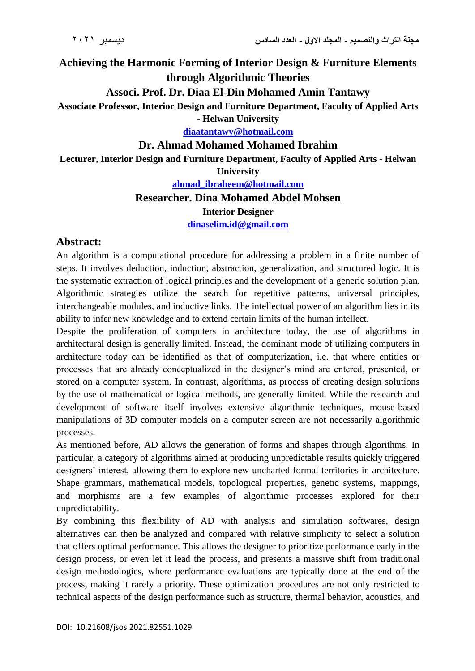# **Achieving the Harmonic Forming of Interior Design & Furniture Elements through Algorithmic Theories**

## **Associ. Prof. Dr. Diaa El-Din Mohamed Amin Tantawy**

**Associate Professor, Interior Design and Furniture Department, Faculty of Applied Arts** 

**- Helwan University**

**[diaatantawy@hotmail.com](mailto:diaatantawy@hotmail.com)**

#### **Dr. Ahmad Mohamed Mohamed Ibrahim**

**Lecturer, Interior Design and Furniture Department, Faculty of Applied Arts - Helwan** 

**University**

**[ahmad\\_ibraheem@hotmail.com](mailto:ahmad_ibraheem@hotmail.com)**

#### **Researcher. Dina Mohamed Abdel Mohsen**

#### **Interior Designer**

**[dinaselim.id@gmail.com](mailto:dinaselim.id@gmail.com)**

## **Abstract:**

An algorithm is a computational procedure for addressing a problem in a finite number of steps. It involves deduction, induction, abstraction, generalization, and structured logic. It is the systematic extraction of logical principles and the development of a generic solution plan. Algorithmic strategies utilize the search for repetitive patterns, universal principles, interchangeable modules, and inductive links. The intellectual power of an algorithm lies in its ability to infer new knowledge and to extend certain limits of the human intellect.

Despite the proliferation of computers in architecture today, the use of algorithms in architectural design is generally limited. Instead, the dominant mode of utilizing computers in architecture today can be identified as that of computerization, i.e. that where entities or processes that are already conceptualized in the designer's mind are entered, presented, or stored on a computer system. In contrast, algorithms, as process of creating design solutions by the use of mathematical or logical methods, are generally limited. While the research and development of software itself involves extensive algorithmic techniques, mouse-based manipulations of 3D computer models on a computer screen are not necessarily algorithmic processes.

As mentioned before, AD allows the generation of forms and shapes through algorithms. In particular, a category of algorithms aimed at producing unpredictable results quickly triggered designers' interest, allowing them to explore new uncharted formal territories in architecture. Shape grammars, mathematical models, topological properties, genetic systems, mappings, and morphisms are a few examples of algorithmic processes explored for their unpredictability.

By combining this flexibility of AD with analysis and simulation softwares, design alternatives can then be analyzed and compared with relative simplicity to select a solution that offers optimal performance. This allows the designer to prioritize performance early in the design process, or even let it lead the process, and presents a massive shift from traditional design methodologies, where performance evaluations are typically done at the end of the process, making it rarely a priority. These optimization procedures are not only restricted to technical aspects of the design performance such as structure, thermal behavior, acoustics, and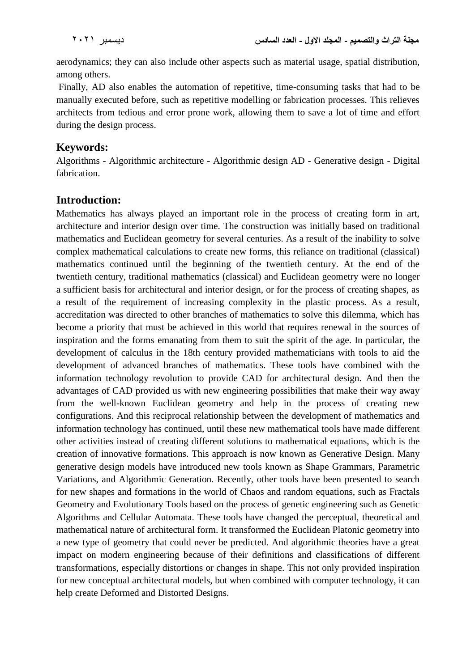aerodynamics; they can also include other aspects such as material usage, spatial distribution, among others.

Finally, AD also enables the automation of repetitive, time-consuming tasks that had to be manually executed before, such as repetitive modelling or fabrication processes. This relieves architects from tedious and error prone work, allowing them to save a lot of time and effort during the design process.

## **Keywords:**

Algorithms - Algorithmic architecture - Algorithmic design AD - Generative design - Digital fabrication.

## **Introduction:**

Mathematics has always played an important role in the process of creating form in art, architecture and interior design over time. The construction was initially based on traditional mathematics and Euclidean geometry for several centuries. As a result of the inability to solve complex mathematical calculations to create new forms, this reliance on traditional (classical) mathematics continued until the beginning of the twentieth century. At the end of the twentieth century, traditional mathematics (classical) and Euclidean geometry were no longer a sufficient basis for architectural and interior design, or for the process of creating shapes, as a result of the requirement of increasing complexity in the plastic process. As a result, accreditation was directed to other branches of mathematics to solve this dilemma, which has become a priority that must be achieved in this world that requires renewal in the sources of inspiration and the forms emanating from them to suit the spirit of the age. In particular, the development of calculus in the 18th century provided mathematicians with tools to aid the development of advanced branches of mathematics. These tools have combined with the information technology revolution to provide CAD for architectural design. And then the advantages of CAD provided us with new engineering possibilities that make their way away from the well-known Euclidean geometry and help in the process of creating new configurations. And this reciprocal relationship between the development of mathematics and information technology has continued, until these new mathematical tools have made different other activities instead of creating different solutions to mathematical equations, which is the creation of innovative formations. This approach is now known as Generative Design. Many generative design models have introduced new tools known as Shape Grammars, Parametric Variations, and Algorithmic Generation. Recently, other tools have been presented to search for new shapes and formations in the world of Chaos and random equations, such as Fractals Geometry and Evolutionary Tools based on the process of genetic engineering such as Genetic Algorithms and Cellular Automata. These tools have changed the perceptual, theoretical and mathematical nature of architectural form. It transformed the Euclidean Platonic geometry into a new type of geometry that could never be predicted. And algorithmic theories have a great impact on modern engineering because of their definitions and classifications of different transformations, especially distortions or changes in shape. This not only provided inspiration for new conceptual architectural models, but when combined with computer technology, it can help create Deformed and Distorted Designs.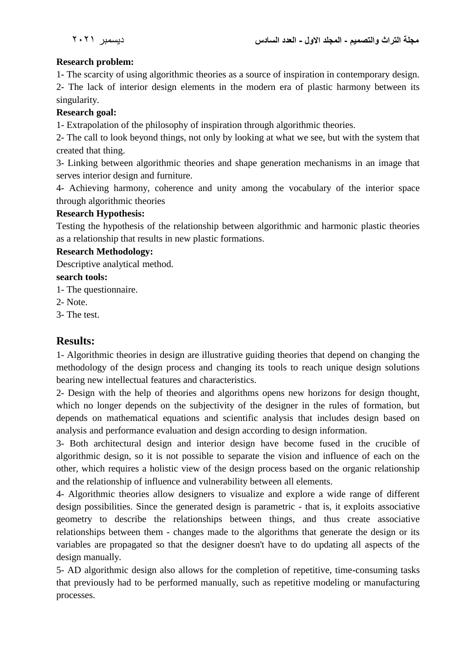### **Research problem:**

1- The scarcity of using algorithmic theories as a source of inspiration in contemporary design.

2- The lack of interior design elements in the modern era of plastic harmony between its singularity.

### **Research goal:**

1- Extrapolation of the philosophy of inspiration through algorithmic theories.

2- The call to look beyond things, not only by looking at what we see, but with the system that created that thing.

3- Linking between algorithmic theories and shape generation mechanisms in an image that serves interior design and furniture.

4- Achieving harmony, coherence and unity among the vocabulary of the interior space through algorithmic theories

#### **Research Hypothesis:**

Testing the hypothesis of the relationship between algorithmic and harmonic plastic theories as a relationship that results in new plastic formations.

#### **Research Methodology:**

Descriptive analytical method.

**search tools:**

1- The questionnaire.

- 2- Note.
- 3- The test.

## **Results:**

1- Algorithmic theories in design are illustrative guiding theories that depend on changing the methodology of the design process and changing its tools to reach unique design solutions bearing new intellectual features and characteristics.

2- Design with the help of theories and algorithms opens new horizons for design thought, which no longer depends on the subjectivity of the designer in the rules of formation, but depends on mathematical equations and scientific analysis that includes design based on analysis and performance evaluation and design according to design information.

3- Both architectural design and interior design have become fused in the crucible of algorithmic design, so it is not possible to separate the vision and influence of each on the other, which requires a holistic view of the design process based on the organic relationship and the relationship of influence and vulnerability between all elements.

4- Algorithmic theories allow designers to visualize and explore a wide range of different design possibilities. Since the generated design is parametric - that is, it exploits associative geometry to describe the relationships between things, and thus create associative relationships between them - changes made to the algorithms that generate the design or its variables are propagated so that the designer doesn't have to do updating all aspects of the design manually.

5- AD algorithmic design also allows for the completion of repetitive, time-consuming tasks that previously had to be performed manually, such as repetitive modeling or manufacturing processes.